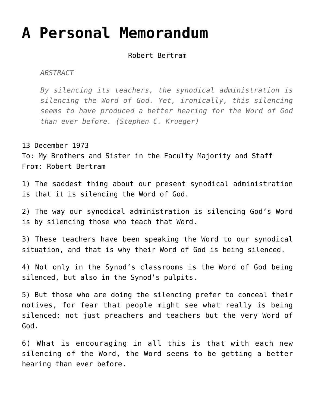## **[A Personal Memorandum](https://crossings.org/a-personal-memorandum/)**

Robert Bertram

*ABSTRACT*

*By silencing its teachers, the synodical administration is silencing the Word of God. Yet, ironically, this silencing seems to have produced a better hearing for the Word of God than ever before. (Stephen C. Krueger)*

13 December 1973

To: My Brothers and Sister in the Faculty Majority and Staff From: Robert Bertram

1) The saddest thing about our present synodical administration is that it is silencing the Word of God.

2) The way our synodical administration is silencing God's Word is by silencing those who teach that Word.

3) These teachers have been speaking the Word to our synodical situation, and that is why their Word of God is being silenced.

4) Not only in the Synod's classrooms is the Word of God being silenced, but also in the Synod's pulpits.

5) But those who are doing the silencing prefer to conceal their motives, for fear that people might see what really is being silenced: not just preachers and teachers but the very Word of God.

6) What is encouraging in all this is that with each new silencing of the Word, the Word seems to be getting a better hearing than ever before.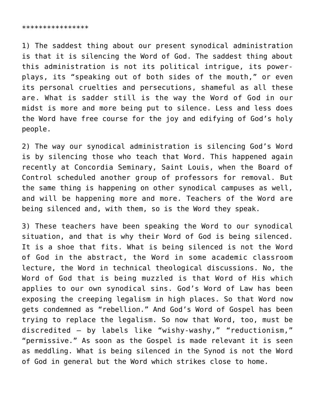## \*\*\*\*\*\*\*\*\*\*\*\*\*\*\*\*

1) The saddest thing about our present synodical administration is that it is silencing the Word of God. The saddest thing about this administration is not its political intrigue, its powerplays, its "speaking out of both sides of the mouth," or even its personal cruelties and persecutions, shameful as all these are. What is sadder still is the way the Word of God in our midst is more and more being put to silence. Less and less does the Word have free course for the joy and edifying of God's holy people.

2) The way our synodical administration is silencing God's Word is by silencing those who teach that Word. This happened again recently at Concordia Seminary, Saint Louis, when the Board of Control scheduled another group of professors for removal. But the same thing is happening on other synodical campuses as well, and will be happening more and more. Teachers of the Word are being silenced and, with them, so is the Word they speak.

3) These teachers have been speaking the Word to our synodical situation, and that is why their Word of God is being silenced. It is a shoe that fits. What is being silenced is not the Word of God in the abstract, the Word in some academic classroom lecture, the Word in technical theological discussions. No, the Word of God that is being muzzled is that Word of His which applies to our own synodical sins. God's Word of Law has been exposing the creeping legalism in high places. So that Word now gets condemned as "rebellion." And God's Word of Gospel has been trying to replace the legalism. So now that Word, too, must be discredited — by labels like "wishy-washy," "reductionism," "permissive." As soon as the Gospel is made relevant it is seen as meddling. What is being silenced in the Synod is not the Word of God in general but the Word which strikes close to home.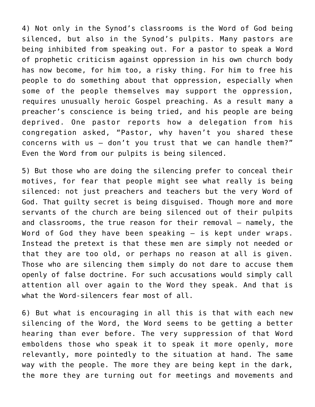4) Not only in the Synod's classrooms is the Word of God being silenced, but also in the Synod's pulpits. Many pastors are being inhibited from speaking out. For a pastor to speak a Word of prophetic criticism against oppression in his own church body has now become, for him too, a risky thing. For him to free his people to do something about that oppression, especially when some of the people themselves may support the oppression, requires unusually heroic Gospel preaching. As a result many a preacher's conscience is being tried, and his people are being deprived. One pastor reports how a delegation from his congregation asked, "Pastor, why haven't you shared these concerns with us — don't you trust that we can handle them?" Even the Word from our pulpits is being silenced.

5) But those who are doing the silencing prefer to conceal their motives, for fear that people might see what really is being silenced: not just preachers and teachers but the very Word of God. That guilty secret is being disguised. Though more and more servants of the church are being silenced out of their pulpits and classrooms, the true reason for their removal — namely, the Word of God they have been speaking — is kept under wraps. Instead the pretext is that these men are simply not needed or that they are too old, or perhaps no reason at all is given. Those who are silencing them simply do not dare to accuse them openly of false doctrine. For such accusations would simply call attention all over again to the Word they speak. And that is what the Word-silencers fear most of all.

6) But what is encouraging in all this is that with each new silencing of the Word, the Word seems to be getting a better hearing than ever before. The very suppression of that Word emboldens those who speak it to speak it more openly, more relevantly, more pointedly to the situation at hand. The same way with the people. The more they are being kept in the dark, the more they are turning out for meetings and movements and